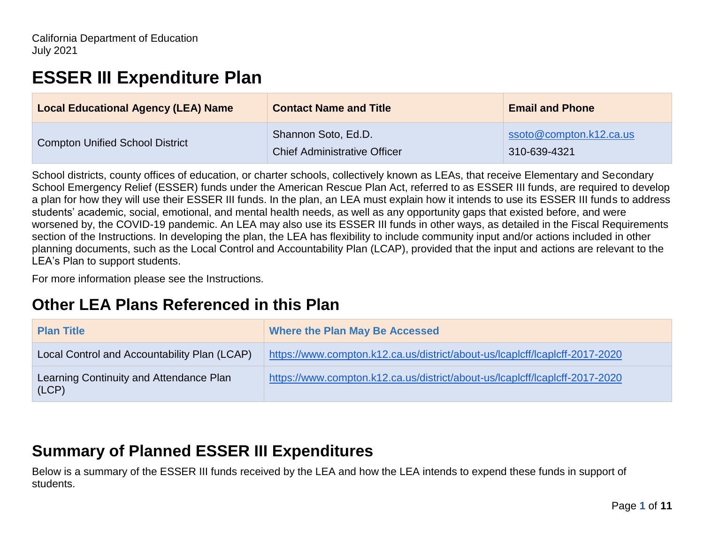# **ESSER III Expenditure Plan**

| <b>Local Educational Agency (LEA) Name</b> | <b>Contact Name and Title</b>       | <b>Email and Phone</b>  |
|--------------------------------------------|-------------------------------------|-------------------------|
| <b>Compton Unified School District</b>     | Shannon Soto, Ed.D.                 | ssoto@compton.k12.ca.us |
|                                            | <b>Chief Administrative Officer</b> | 310-639-4321            |

School districts, county offices of education, or charter schools, collectively known as LEAs, that receive Elementary and Secondary School Emergency Relief (ESSER) funds under the American Rescue Plan Act, referred to as ESSER III funds, are required to develop a plan for how they will use their ESSER III funds. In the plan, an LEA must explain how it intends to use its ESSER III funds to address students' academic, social, emotional, and mental health needs, as well as any opportunity gaps that existed before, and were worsened by, the COVID-19 pandemic. An LEA may also use its ESSER III funds in other ways, as detailed in the Fiscal Requirements section of the Instructions. In developing the plan, the LEA has flexibility to include community input and/or actions included in other planning documents, such as the Local Control and Accountability Plan (LCAP), provided that the input and actions are relevant to the LEA's Plan to support students.

For more information please see the Instructions.

# **Other LEA Plans Referenced in this Plan**

| <b>Plan Title</b>                                | <b>Where the Plan May Be Accessed</b>                                       |
|--------------------------------------------------|-----------------------------------------------------------------------------|
| Local Control and Accountability Plan (LCAP)     | https://www.compton.k12.ca.us/district/about-us/lcaplcff/lcaplcff-2017-2020 |
| Learning Continuity and Attendance Plan<br>(LCP) | https://www.compton.k12.ca.us/district/about-us/lcaplcff/lcaplcff-2017-2020 |

# **Summary of Planned ESSER III Expenditures**

Below is a summary of the ESSER III funds received by the LEA and how the LEA intends to expend these funds in support of students.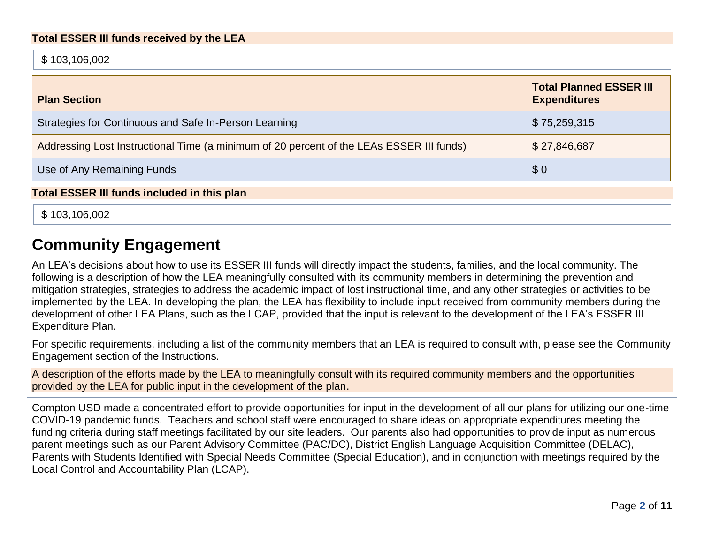\$ 103,106,002

| <b>Plan Section</b>                                                                      | <b>Total Planned ESSER III</b><br><b>Expenditures</b> |
|------------------------------------------------------------------------------------------|-------------------------------------------------------|
| Strategies for Continuous and Safe In-Person Learning                                    | \$75,259,315                                          |
| Addressing Lost Instructional Time (a minimum of 20 percent of the LEAs ESSER III funds) | \$27,846,687                                          |
| Use of Any Remaining Funds                                                               | \$0                                                   |

**Total ESSER III funds included in this plan**

\$ 103,106,002

# **Community Engagement**

An LEA's decisions about how to use its ESSER III funds will directly impact the students, families, and the local community. The following is a description of how the LEA meaningfully consulted with its community members in determining the prevention and mitigation strategies, strategies to address the academic impact of lost instructional time, and any other strategies or activities to be implemented by the LEA. In developing the plan, the LEA has flexibility to include input received from community members during the development of other LEA Plans, such as the LCAP, provided that the input is relevant to the development of the LEA's ESSER III Expenditure Plan.

For specific requirements, including a list of the community members that an LEA is required to consult with, please see the Community Engagement section of the Instructions.

A description of the efforts made by the LEA to meaningfully consult with its required community members and the opportunities provided by the LEA for public input in the development of the plan.

Compton USD made a concentrated effort to provide opportunities for input in the development of all our plans for utilizing our one-time COVID-19 pandemic funds. Teachers and school staff were encouraged to share ideas on appropriate expenditures meeting the funding criteria during staff meetings facilitated by our site leaders. Our parents also had opportunities to provide input as numerous parent meetings such as our Parent Advisory Committee (PAC/DC), District English Language Acquisition Committee (DELAC), Parents with Students Identified with Special Needs Committee (Special Education), and in conjunction with meetings required by the Local Control and Accountability Plan (LCAP).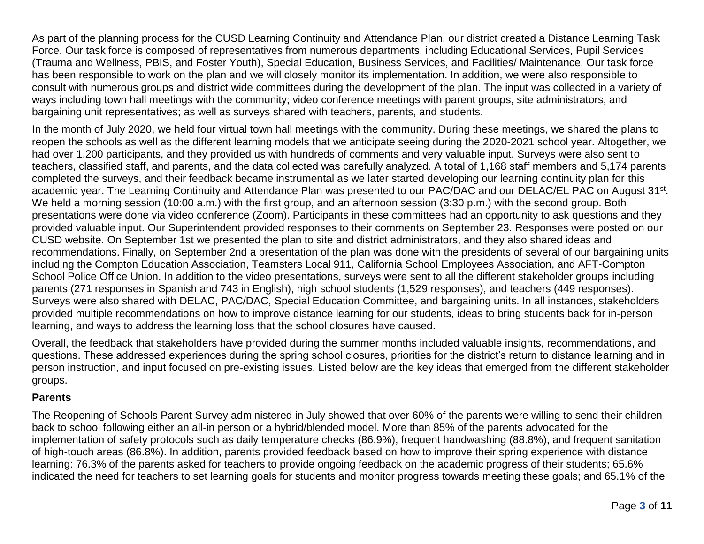As part of the planning process for the CUSD Learning Continuity and Attendance Plan, our district created a Distance Learning Task Force. Our task force is composed of representatives from numerous departments, including Educational Services, Pupil Services (Trauma and Wellness, PBIS, and Foster Youth), Special Education, Business Services, and Facilities/ Maintenance. Our task force has been responsible to work on the plan and we will closely monitor its implementation. In addition, we were also responsible to consult with numerous groups and district wide committees during the development of the plan. The input was collected in a variety of ways including town hall meetings with the community; video conference meetings with parent groups, site administrators, and bargaining unit representatives; as well as surveys shared with teachers, parents, and students.

In the month of July 2020, we held four virtual town hall meetings with the community. During these meetings, we shared the plans to reopen the schools as well as the different learning models that we anticipate seeing during the 2020-2021 school year. Altogether, we had over 1,200 participants, and they provided us with hundreds of comments and very valuable input. Surveys were also sent to teachers, classified staff, and parents, and the data collected was carefully analyzed. A total of 1,168 staff members and 5,174 parents completed the surveys, and their feedback became instrumental as we later started developing our learning continuity plan for this academic year. The Learning Continuity and Attendance Plan was presented to our PAC/DAC and our DELAC/EL PAC on August 31<sup>st</sup>. We held a morning session (10:00 a.m.) with the first group, and an afternoon session (3:30 p.m.) with the second group. Both presentations were done via video conference (Zoom). Participants in these committees had an opportunity to ask questions and they provided valuable input. Our Superintendent provided responses to their comments on September 23. Responses were posted on our CUSD website. On September 1st we presented the plan to site and district administrators, and they also shared ideas and recommendations. Finally, on September 2nd a presentation of the plan was done with the presidents of several of our bargaining units including the Compton Education Association, Teamsters Local 911, California School Employees Association, and AFT-Compton School Police Office Union. In addition to the video presentations, surveys were sent to all the different stakeholder groups including parents (271 responses in Spanish and 743 in English), high school students (1,529 responses), and teachers (449 responses). Surveys were also shared with DELAC, PAC/DAC, Special Education Committee, and bargaining units. In all instances, stakeholders provided multiple recommendations on how to improve distance learning for our students, ideas to bring students back for in-person learning, and ways to address the learning loss that the school closures have caused.

Overall, the feedback that stakeholders have provided during the summer months included valuable insights, recommendations, and questions. These addressed experiences during the spring school closures, priorities for the district's return to distance learning and in person instruction, and input focused on pre-existing issues. Listed below are the key ideas that emerged from the different stakeholder groups.

#### **Parents**

The Reopening of Schools Parent Survey administered in July showed that over 60% of the parents were willing to send their children back to school following either an all-in person or a hybrid/blended model. More than 85% of the parents advocated for the implementation of safety protocols such as daily temperature checks (86.9%), frequent handwashing (88.8%), and frequent sanitation of high-touch areas (86.8%). In addition, parents provided feedback based on how to improve their spring experience with distance learning: 76.3% of the parents asked for teachers to provide ongoing feedback on the academic progress of their students; 65.6% indicated the need for teachers to set learning goals for students and monitor progress towards meeting these goals; and 65.1% of the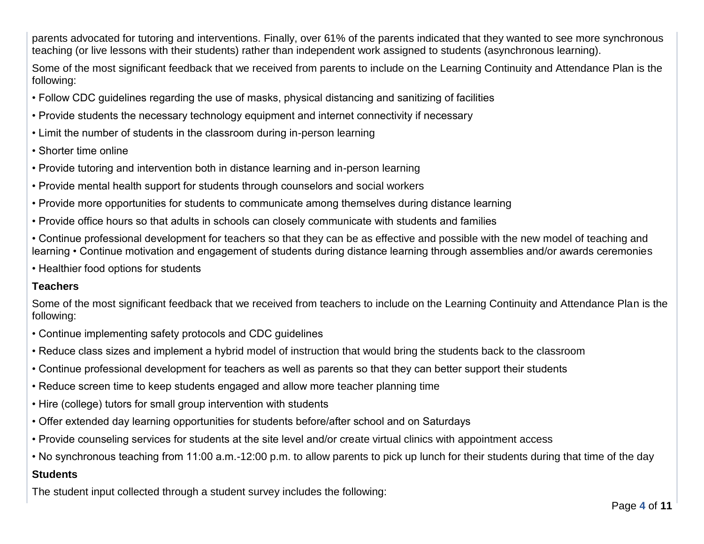parents advocated for tutoring and interventions. Finally, over 61% of the parents indicated that they wanted to see more synchronous teaching (or live lessons with their students) rather than independent work assigned to students (asynchronous learning).

Some of the most significant feedback that we received from parents to include on the Learning Continuity and Attendance Plan is the following:

- Follow CDC guidelines regarding the use of masks, physical distancing and sanitizing of facilities
- Provide students the necessary technology equipment and internet connectivity if necessary
- Limit the number of students in the classroom during in-person learning
- Shorter time online
- Provide tutoring and intervention both in distance learning and in-person learning
- Provide mental health support for students through counselors and social workers
- Provide more opportunities for students to communicate among themselves during distance learning
- Provide office hours so that adults in schools can closely communicate with students and families
- Continue professional development for teachers so that they can be as effective and possible with the new model of teaching and learning • Continue motivation and engagement of students during distance learning through assemblies and/or awards ceremonies
- Healthier food options for students

#### **Teachers**

Some of the most significant feedback that we received from teachers to include on the Learning Continuity and Attendance Plan is the following:

- Continue implementing safety protocols and CDC guidelines
- Reduce class sizes and implement a hybrid model of instruction that would bring the students back to the classroom
- Continue professional development for teachers as well as parents so that they can better support their students
- Reduce screen time to keep students engaged and allow more teacher planning time
- Hire (college) tutors for small group intervention with students
- Offer extended day learning opportunities for students before/after school and on Saturdays
- Provide counseling services for students at the site level and/or create virtual clinics with appointment access
- No synchronous teaching from 11:00 a.m.-12:00 p.m. to allow parents to pick up lunch for their students during that time of the day

### **Students**

The student input collected through a student survey includes the following: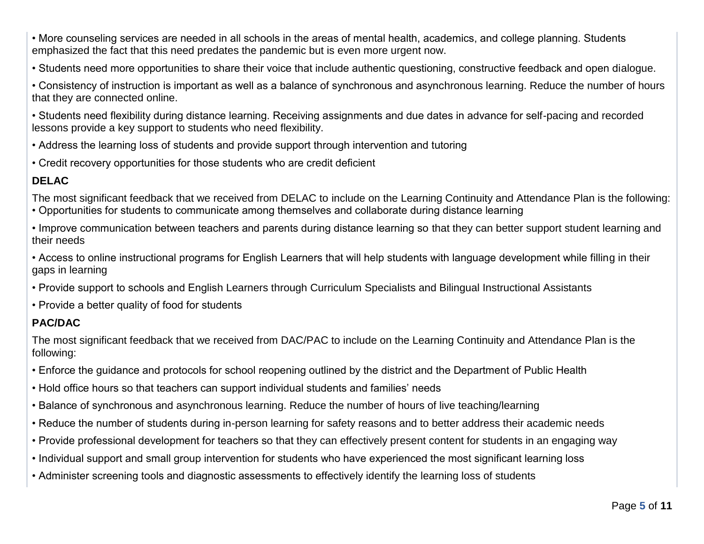• More counseling services are needed in all schools in the areas of mental health, academics, and college planning. Students emphasized the fact that this need predates the pandemic but is even more urgent now.

• Students need more opportunities to share their voice that include authentic questioning, constructive feedback and open dialogue.

• Consistency of instruction is important as well as a balance of synchronous and asynchronous learning. Reduce the number of hours that they are connected online.

• Students need flexibility during distance learning. Receiving assignments and due dates in advance for self-pacing and recorded lessons provide a key support to students who need flexibility.

• Address the learning loss of students and provide support through intervention and tutoring

• Credit recovery opportunities for those students who are credit deficient

### **DELAC**

The most significant feedback that we received from DELAC to include on the Learning Continuity and Attendance Plan is the following:

• Opportunities for students to communicate among themselves and collaborate during distance learning

• Improve communication between teachers and parents during distance learning so that they can better support student learning and their needs

• Access to online instructional programs for English Learners that will help students with language development while filling in their gaps in learning

- Provide support to schools and English Learners through Curriculum Specialists and Bilingual Instructional Assistants
- Provide a better quality of food for students

### **PAC/DAC**

The most significant feedback that we received from DAC/PAC to include on the Learning Continuity and Attendance Plan is the following:

- Enforce the guidance and protocols for school reopening outlined by the district and the Department of Public Health
- Hold office hours so that teachers can support individual students and families' needs
- Balance of synchronous and asynchronous learning. Reduce the number of hours of live teaching/learning
- Reduce the number of students during in-person learning for safety reasons and to better address their academic needs
- Provide professional development for teachers so that they can effectively present content for students in an engaging way
- Individual support and small group intervention for students who have experienced the most significant learning loss
- Administer screening tools and diagnostic assessments to effectively identify the learning loss of students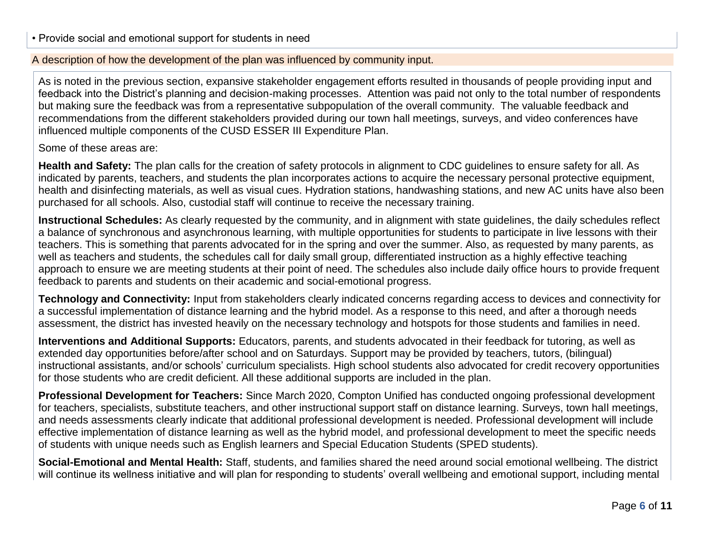#### A description of how the development of the plan was influenced by community input.

As is noted in the previous section, expansive stakeholder engagement efforts resulted in thousands of people providing input and feedback into the District's planning and decision-making processes. Attention was paid not only to the total number of respondents but making sure the feedback was from a representative subpopulation of the overall community. The valuable feedback and recommendations from the different stakeholders provided during our town hall meetings, surveys, and video conferences have influenced multiple components of the CUSD ESSER III Expenditure Plan.

#### Some of these areas are:

**Health and Safety:** The plan calls for the creation of safety protocols in alignment to CDC guidelines to ensure safety for all. As indicated by parents, teachers, and students the plan incorporates actions to acquire the necessary personal protective equipment, health and disinfecting materials, as well as visual cues. Hydration stations, handwashing stations, and new AC units have also been purchased for all schools. Also, custodial staff will continue to receive the necessary training.

**Instructional Schedules:** As clearly requested by the community, and in alignment with state guidelines, the daily schedules reflect a balance of synchronous and asynchronous learning, with multiple opportunities for students to participate in live lessons with their teachers. This is something that parents advocated for in the spring and over the summer. Also, as requested by many parents, as well as teachers and students, the schedules call for daily small group, differentiated instruction as a highly effective teaching approach to ensure we are meeting students at their point of need. The schedules also include daily office hours to provide frequent feedback to parents and students on their academic and social-emotional progress.

**Technology and Connectivity:** Input from stakeholders clearly indicated concerns regarding access to devices and connectivity for a successful implementation of distance learning and the hybrid model. As a response to this need, and after a thorough needs assessment, the district has invested heavily on the necessary technology and hotspots for those students and families in need.

**Interventions and Additional Supports:** Educators, parents, and students advocated in their feedback for tutoring, as well as extended day opportunities before/after school and on Saturdays. Support may be provided by teachers, tutors, (bilingual) instructional assistants, and/or schools' curriculum specialists. High school students also advocated for credit recovery opportunities for those students who are credit deficient. All these additional supports are included in the plan.

**Professional Development for Teachers:** Since March 2020, Compton Unified has conducted ongoing professional development for teachers, specialists, substitute teachers, and other instructional support staff on distance learning. Surveys, town hall meetings, and needs assessments clearly indicate that additional professional development is needed. Professional development will include effective implementation of distance learning as well as the hybrid model, and professional development to meet the specific needs of students with unique needs such as English learners and Special Education Students (SPED students).

**Social-Emotional and Mental Health:** Staff, students, and families shared the need around social emotional wellbeing. The district will continue its wellness initiative and will plan for responding to students' overall wellbeing and emotional support, including mental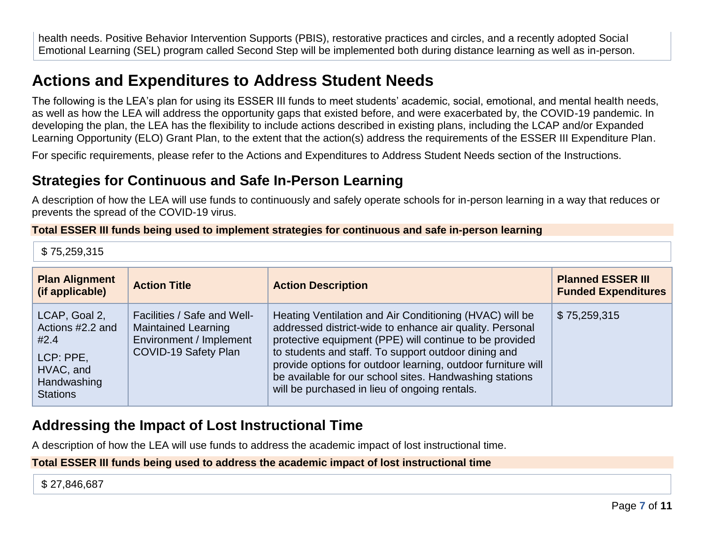health needs. Positive Behavior Intervention Supports (PBIS), restorative practices and circles, and a recently adopted Social Emotional Learning (SEL) program called Second Step will be implemented both during distance learning as well as in-person.

# **Actions and Expenditures to Address Student Needs**

The following is the LEA's plan for using its ESSER III funds to meet students' academic, social, emotional, and mental health needs, as well as how the LEA will address the opportunity gaps that existed before, and were exacerbated by, the COVID-19 pandemic. In developing the plan, the LEA has the flexibility to include actions described in existing plans, including the LCAP and/or Expanded Learning Opportunity (ELO) Grant Plan, to the extent that the action(s) address the requirements of the ESSER III Expenditure Plan.

For specific requirements, please refer to the Actions and Expenditures to Address Student Needs section of the Instructions.

## **Strategies for Continuous and Safe In-Person Learning**

A description of how the LEA will use funds to continuously and safely operate schools for in-person learning in a way that reduces or prevents the spread of the COVID-19 virus.

#### **Total ESSER III funds being used to implement strategies for continuous and safe in-person learning**

\$ 75,259,315

| <b>Plan Alignment</b><br>(if applicable)                                                              | <b>Action Title</b>                                                                                          | <b>Action Description</b>                                                                                                                                                                                                                                                                                                                                                                                          | <b>Planned ESSER III</b><br><b>Funded Expenditures</b> |
|-------------------------------------------------------------------------------------------------------|--------------------------------------------------------------------------------------------------------------|--------------------------------------------------------------------------------------------------------------------------------------------------------------------------------------------------------------------------------------------------------------------------------------------------------------------------------------------------------------------------------------------------------------------|--------------------------------------------------------|
| LCAP, Goal 2,<br>Actions #2.2 and<br>#2.4<br>LCP: PPE,<br>HVAC, and<br>Handwashing<br><b>Stations</b> | Facilities / Safe and Well-<br><b>Maintained Learning</b><br>Environment / Implement<br>COVID-19 Safety Plan | Heating Ventilation and Air Conditioning (HVAC) will be<br>addressed district-wide to enhance air quality. Personal<br>protective equipment (PPE) will continue to be provided<br>to students and staff. To support outdoor dining and<br>provide options for outdoor learning, outdoor furniture will<br>be available for our school sites. Handwashing stations<br>will be purchased in lieu of ongoing rentals. | \$75,259,315                                           |

### **Addressing the Impact of Lost Instructional Time**

A description of how the LEA will use funds to address the academic impact of lost instructional time.

#### **Total ESSER III funds being used to address the academic impact of lost instructional time**

\$ 27,846,687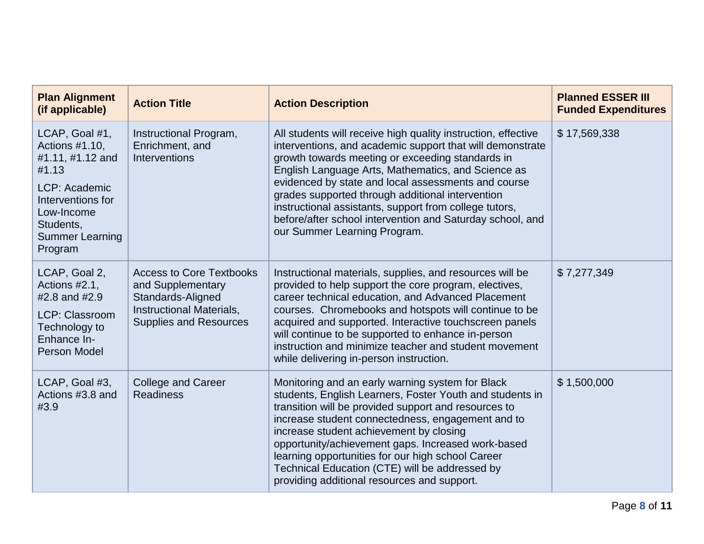| <b>Plan Alignment</b><br>(if applicable)                                                                                                                            | <b>Action Title</b>                                                                                                                           | <b>Action Description</b>                                                                                                                                                                                                                                                                                                                                                                                                                                                                              | <b>Planned ESSER III</b><br><b>Funded Expenditures</b> |
|---------------------------------------------------------------------------------------------------------------------------------------------------------------------|-----------------------------------------------------------------------------------------------------------------------------------------------|--------------------------------------------------------------------------------------------------------------------------------------------------------------------------------------------------------------------------------------------------------------------------------------------------------------------------------------------------------------------------------------------------------------------------------------------------------------------------------------------------------|--------------------------------------------------------|
| LCAP, Goal #1,<br>Actions #1.10,<br>#1.11, #1.12 and<br>#1.13<br>LCP: Academic<br>Interventions for<br>Low-Income<br>Students,<br><b>Summer Learning</b><br>Program | Instructional Program,<br>Enrichment, and<br><b>Interventions</b>                                                                             | All students will receive high quality instruction, effective<br>interventions, and academic support that will demonstrate<br>growth towards meeting or exceeding standards in<br>English Language Arts, Mathematics, and Science as<br>evidenced by state and local assessments and course<br>grades supported through additional intervention<br>instructional assistants, support from college tutors,<br>before/after school intervention and Saturday school, and<br>our Summer Learning Program. | \$17,569,338                                           |
| LCAP, Goal 2,<br>Actions #2.1,<br>#2.8 and #2.9<br><b>LCP: Classroom</b><br>Technology to<br>Enhance In-<br>Person Model                                            | <b>Access to Core Textbooks</b><br>and Supplementary<br>Standards-Aligned<br><b>Instructional Materials,</b><br><b>Supplies and Resources</b> | Instructional materials, supplies, and resources will be<br>provided to help support the core program, electives,<br>career technical education, and Advanced Placement<br>courses. Chromebooks and hotspots will continue to be<br>acquired and supported. Interactive touchscreen panels<br>will continue to be supported to enhance in-person<br>instruction and minimize teacher and student movement<br>while delivering in-person instruction.                                                   | \$7,277,349                                            |
| LCAP, Goal #3,<br>Actions #3.8 and<br>#3.9                                                                                                                          | <b>College and Career</b><br><b>Readiness</b>                                                                                                 | Monitoring and an early warning system for Black<br>students, English Learners, Foster Youth and students in<br>transition will be provided support and resources to<br>increase student connectedness, engagement and to<br>increase student achievement by closing<br>opportunity/achievement gaps. Increased work-based<br>learning opportunities for our high school Career<br>Technical Education (CTE) will be addressed by<br>providing additional resources and support.                       | \$1,500,000                                            |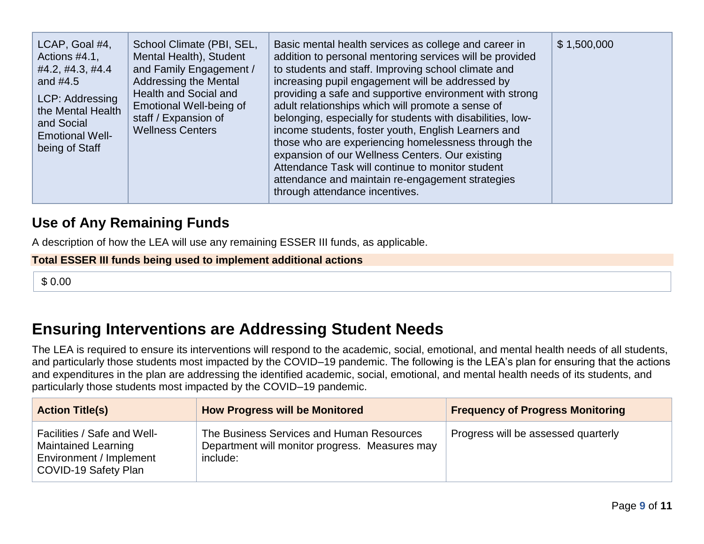| LCAP, Goal #4,<br>Actions #4.1,<br>#4.2, #4.3, #4.4<br>and $#4.5$<br>LCP: Addressing<br>the Mental Health<br>and Social<br><b>Emotional Well-</b><br>being of Staff | School Climate (PBI, SEL,<br>Mental Health), Student<br>and Family Engagement /<br><b>Addressing the Mental</b><br>Health and Social and<br>Emotional Well-being of<br>staff / Expansion of<br><b>Wellness Centers</b> | Basic mental health services as college and career in<br>addition to personal mentoring services will be provided<br>to students and staff. Improving school climate and<br>increasing pupil engagement will be addressed by<br>providing a safe and supportive environment with strong<br>adult relationships which will promote a sense of<br>belonging, especially for students with disabilities, low-<br>income students, foster youth, English Learners and<br>those who are experiencing homelessness through the<br>expansion of our Wellness Centers. Our existing<br>Attendance Task will continue to monitor student<br>attendance and maintain re-engagement strategies<br>through attendance incentives. | \$1,500,000 |
|---------------------------------------------------------------------------------------------------------------------------------------------------------------------|------------------------------------------------------------------------------------------------------------------------------------------------------------------------------------------------------------------------|-----------------------------------------------------------------------------------------------------------------------------------------------------------------------------------------------------------------------------------------------------------------------------------------------------------------------------------------------------------------------------------------------------------------------------------------------------------------------------------------------------------------------------------------------------------------------------------------------------------------------------------------------------------------------------------------------------------------------|-------------|
|---------------------------------------------------------------------------------------------------------------------------------------------------------------------|------------------------------------------------------------------------------------------------------------------------------------------------------------------------------------------------------------------------|-----------------------------------------------------------------------------------------------------------------------------------------------------------------------------------------------------------------------------------------------------------------------------------------------------------------------------------------------------------------------------------------------------------------------------------------------------------------------------------------------------------------------------------------------------------------------------------------------------------------------------------------------------------------------------------------------------------------------|-------------|

### **Use of Any Remaining Funds**

A description of how the LEA will use any remaining ESSER III funds, as applicable.

**Total ESSER III funds being used to implement additional actions**

\$ 0.00

# **Ensuring Interventions are Addressing Student Needs**

The LEA is required to ensure its interventions will respond to the academic, social, emotional, and mental health needs of all students, and particularly those students most impacted by the COVID–19 pandemic. The following is the LEA's plan for ensuring that the actions and expenditures in the plan are addressing the identified academic, social, emotional, and mental health needs of its students, and particularly those students most impacted by the COVID–19 pandemic.

| <b>Action Title(s)</b>                                                                                       | <b>How Progress will be Monitored</b>                                                                   | <b>Frequency of Progress Monitoring</b> |
|--------------------------------------------------------------------------------------------------------------|---------------------------------------------------------------------------------------------------------|-----------------------------------------|
| Facilities / Safe and Well-<br><b>Maintained Learning</b><br>Environment / Implement<br>COVID-19 Safety Plan | The Business Services and Human Resources<br>Department will monitor progress. Measures may<br>include: | Progress will be assessed quarterly     |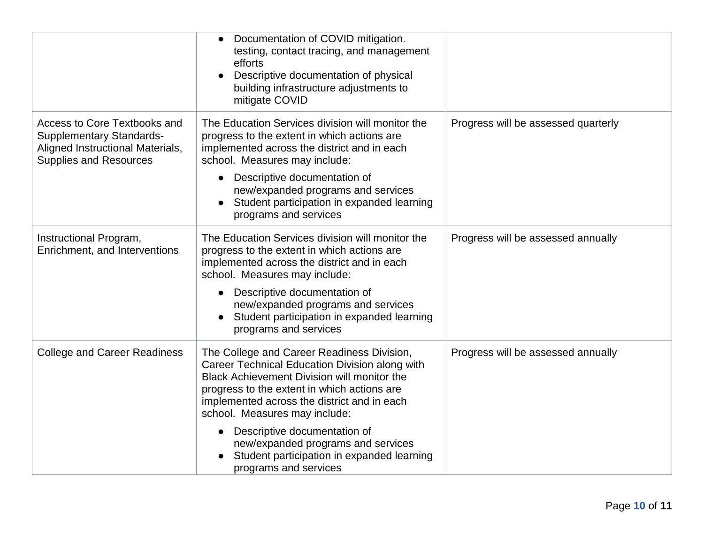|                                                                                                                                             | Documentation of COVID mitigation.<br>testing, contact tracing, and management<br>efforts<br>Descriptive documentation of physical<br>building infrastructure adjustments to<br>mitigate COVID                                                                                                                                                                                                                          |                                     |
|---------------------------------------------------------------------------------------------------------------------------------------------|-------------------------------------------------------------------------------------------------------------------------------------------------------------------------------------------------------------------------------------------------------------------------------------------------------------------------------------------------------------------------------------------------------------------------|-------------------------------------|
| <b>Access to Core Textbooks and</b><br><b>Supplementary Standards-</b><br>Aligned Instructional Materials,<br><b>Supplies and Resources</b> | The Education Services division will monitor the<br>progress to the extent in which actions are<br>implemented across the district and in each<br>school. Measures may include:<br>Descriptive documentation of<br>new/expanded programs and services<br>Student participation in expanded learning<br>programs and services                                                                                            | Progress will be assessed quarterly |
| Instructional Program,<br>Enrichment, and Interventions                                                                                     | The Education Services division will monitor the<br>progress to the extent in which actions are<br>implemented across the district and in each<br>school. Measures may include:<br>Descriptive documentation of<br>new/expanded programs and services<br>Student participation in expanded learning<br>programs and services                                                                                            | Progress will be assessed annually  |
| <b>College and Career Readiness</b>                                                                                                         | The College and Career Readiness Division,<br>Career Technical Education Division along with<br>Black Achievement Division will monitor the<br>progress to the extent in which actions are<br>implemented across the district and in each<br>school. Measures may include:<br>Descriptive documentation of<br>new/expanded programs and services<br>Student participation in expanded learning<br>programs and services | Progress will be assessed annually  |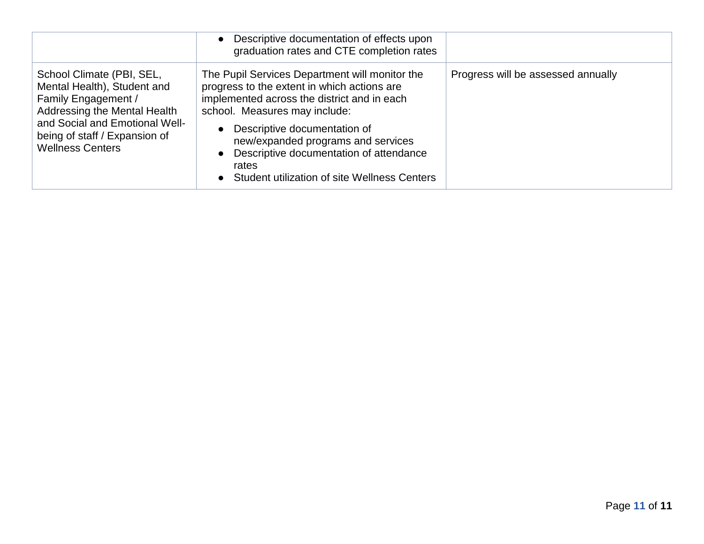|                                                                                                                                                                                                               | Descriptive documentation of effects upon<br>graduation rates and CTE completion rates                                                                                                                                                                                                                                                                  |                                    |
|---------------------------------------------------------------------------------------------------------------------------------------------------------------------------------------------------------------|---------------------------------------------------------------------------------------------------------------------------------------------------------------------------------------------------------------------------------------------------------------------------------------------------------------------------------------------------------|------------------------------------|
| School Climate (PBI, SEL,<br>Mental Health), Student and<br>Family Engagement /<br>Addressing the Mental Health<br>and Social and Emotional Well-<br>being of staff / Expansion of<br><b>Wellness Centers</b> | The Pupil Services Department will monitor the<br>progress to the extent in which actions are<br>implemented across the district and in each<br>school. Measures may include:<br>Descriptive documentation of<br>new/expanded programs and services<br>Descriptive documentation of attendance<br>rates<br>Student utilization of site Wellness Centers | Progress will be assessed annually |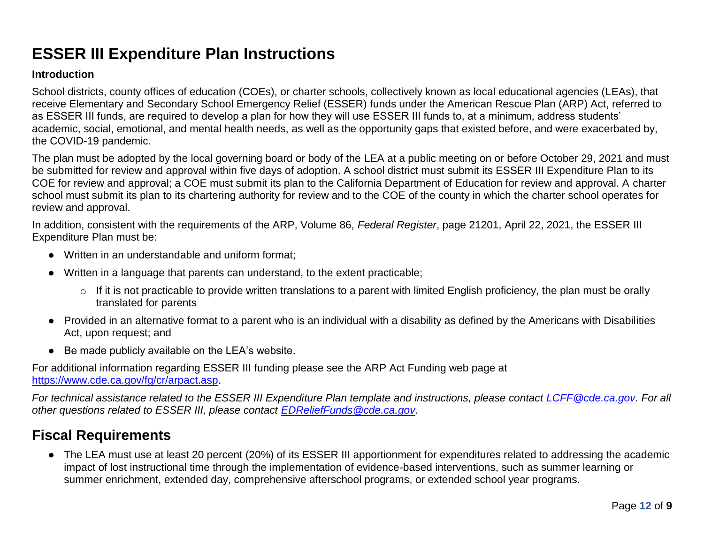# **ESSER III Expenditure Plan Instructions**

#### **Introduction**

School districts, county offices of education (COEs), or charter schools, collectively known as local educational agencies (LEAs), that receive Elementary and Secondary School Emergency Relief (ESSER) funds under the American Rescue Plan (ARP) Act, referred to as ESSER III funds, are required to develop a plan for how they will use ESSER III funds to, at a minimum, address students' academic, social, emotional, and mental health needs, as well as the opportunity gaps that existed before, and were exacerbated by, the COVID-19 pandemic.

The plan must be adopted by the local governing board or body of the LEA at a public meeting on or before October 29, 2021 and must be submitted for review and approval within five days of adoption. A school district must submit its ESSER III Expenditure Plan to its COE for review and approval; a COE must submit its plan to the California Department of Education for review and approval. A charter school must submit its plan to its chartering authority for review and to the COE of the county in which the charter school operates for review and approval.

In addition, consistent with the requirements of the ARP, Volume 86, *Federal Register*, page 21201, April 22, 2021, the ESSER III Expenditure Plan must be:

- Written in an understandable and uniform format;
- Written in a language that parents can understand, to the extent practicable;
	- o If it is not practicable to provide written translations to a parent with limited English proficiency, the plan must be orally translated for parents
- Provided in an alternative format to a parent who is an individual with a disability as defined by the Americans with Disabilities Act, upon request; and
- Be made publicly available on the LEA's website.

For additional information regarding ESSER III funding please see the ARP Act Funding web page at [https://www.cde.ca.gov/fg/cr/arpact.asp.](https://www.cde.ca.gov/fg/cr/arpact.asp)

*For technical assistance related to the ESSER III Expenditure Plan template and instructions, please contact [LCFF@cde.ca.gov.](mailto:LCFF@cde.ca.gov) For all other questions related to ESSER III, please contact [EDReliefFunds@cde.ca.gov.](mailto:EDReliefFunds@cde.ca.gov)* 

### **Fiscal Requirements**

● The LEA must use at least 20 percent (20%) of its ESSER III apportionment for expenditures related to addressing the academic impact of lost instructional time through the implementation of evidence-based interventions, such as summer learning or summer enrichment, extended day, comprehensive afterschool programs, or extended school year programs.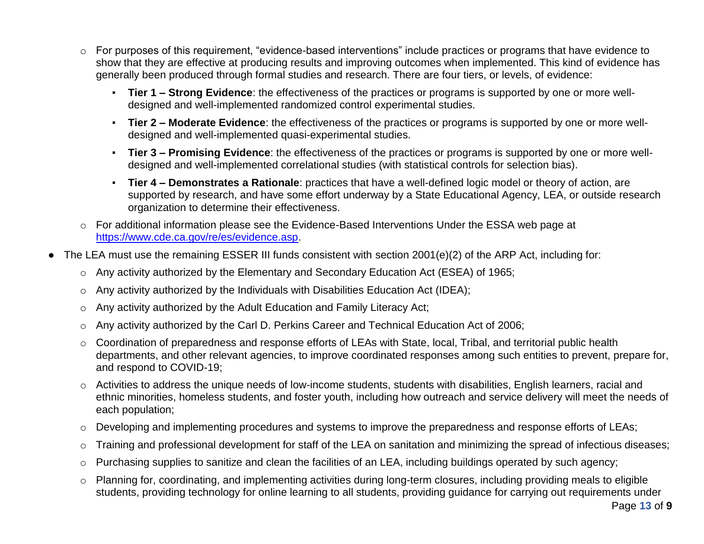- o For purposes of this requirement, "evidence-based interventions" include practices or programs that have evidence to show that they are effective at producing results and improving outcomes when implemented. This kind of evidence has generally been produced through formal studies and research. There are four tiers, or levels, of evidence:
	- **Tier 1 – Strong Evidence**: the effectiveness of the practices or programs is supported by one or more welldesigned and well-implemented randomized control experimental studies.
	- **Tier 2 – Moderate Evidence**: the effectiveness of the practices or programs is supported by one or more welldesigned and well-implemented quasi-experimental studies.
	- **Tier 3 – Promising Evidence**: the effectiveness of the practices or programs is supported by one or more welldesigned and well-implemented correlational studies (with statistical controls for selection bias).
	- **Tier 4 Demonstrates a Rationale**: practices that have a well-defined logic model or theory of action, are supported by research, and have some effort underway by a State Educational Agency, LEA, or outside research organization to determine their effectiveness.
- o For additional information please see the Evidence-Based Interventions Under the ESSA web page at [https://www.cde.ca.gov/re/es/evidence.asp.](https://www.cde.ca.gov/re/es/evidence.asp)
- The LEA must use the remaining ESSER III funds consistent with section  $2001(e)(2)$  of the ARP Act, including for:
	- o Any activity authorized by the Elementary and Secondary Education Act (ESEA) of 1965;
	- $\circ$  Any activity authorized by the Individuals with Disabilities Education Act (IDEA);
	- o Any activity authorized by the Adult Education and Family Literacy Act;
	- o Any activity authorized by the Carl D. Perkins Career and Technical Education Act of 2006;
	- o Coordination of preparedness and response efforts of LEAs with State, local, Tribal, and territorial public health departments, and other relevant agencies, to improve coordinated responses among such entities to prevent, prepare for, and respond to COVID-19;
	- $\circ$  Activities to address the unique needs of low-income students, students with disabilities, English learners, racial and ethnic minorities, homeless students, and foster youth, including how outreach and service delivery will meet the needs of each population;
	- o Developing and implementing procedures and systems to improve the preparedness and response efforts of LEAs;
	- o Training and professional development for staff of the LEA on sanitation and minimizing the spread of infectious diseases;
	- o Purchasing supplies to sanitize and clean the facilities of an LEA, including buildings operated by such agency;
	- o Planning for, coordinating, and implementing activities during long-term closures, including providing meals to eligible students, providing technology for online learning to all students, providing guidance for carrying out requirements under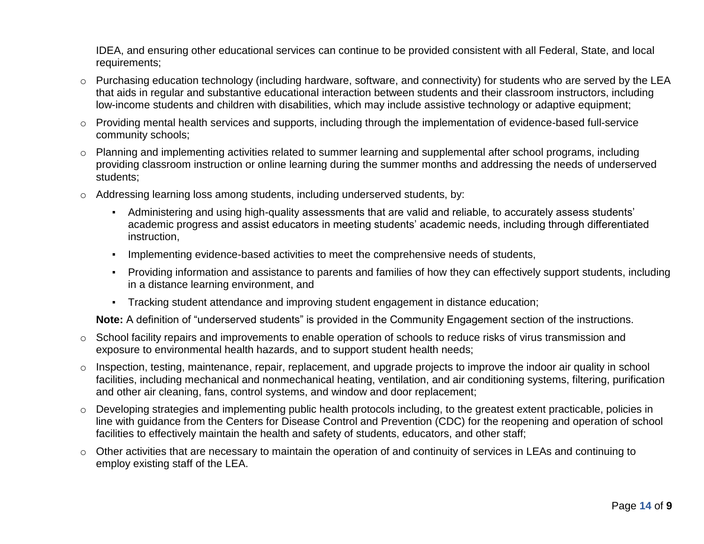IDEA, and ensuring other educational services can continue to be provided consistent with all Federal, State, and local requirements;

- o Purchasing education technology (including hardware, software, and connectivity) for students who are served by the LEA that aids in regular and substantive educational interaction between students and their classroom instructors, including low-income students and children with disabilities, which may include assistive technology or adaptive equipment;
- o Providing mental health services and supports, including through the implementation of evidence-based full-service community schools;
- $\circ$  Planning and implementing activities related to summer learning and supplemental after school programs, including providing classroom instruction or online learning during the summer months and addressing the needs of underserved students;
- $\circ$  Addressing learning loss among students, including underserved students, by:
	- Administering and using high-quality assessments that are valid and reliable, to accurately assess students' academic progress and assist educators in meeting students' academic needs, including through differentiated instruction,
	- **Implementing evidence-based activities to meet the comprehensive needs of students,**
	- Providing information and assistance to parents and families of how they can effectively support students, including in a distance learning environment, and
	- Tracking student attendance and improving student engagement in distance education;

**Note:** A definition of "underserved students" is provided in the Community Engagement section of the instructions.

- o School facility repairs and improvements to enable operation of schools to reduce risks of virus transmission and exposure to environmental health hazards, and to support student health needs;
- o Inspection, testing, maintenance, repair, replacement, and upgrade projects to improve the indoor air quality in school facilities, including mechanical and nonmechanical heating, ventilation, and air conditioning systems, filtering, purification and other air cleaning, fans, control systems, and window and door replacement;
- o Developing strategies and implementing public health protocols including, to the greatest extent practicable, policies in line with guidance from the Centers for Disease Control and Prevention (CDC) for the reopening and operation of school facilities to effectively maintain the health and safety of students, educators, and other staff;
- $\circ$  Other activities that are necessary to maintain the operation of and continuity of services in LEAs and continuing to employ existing staff of the LEA.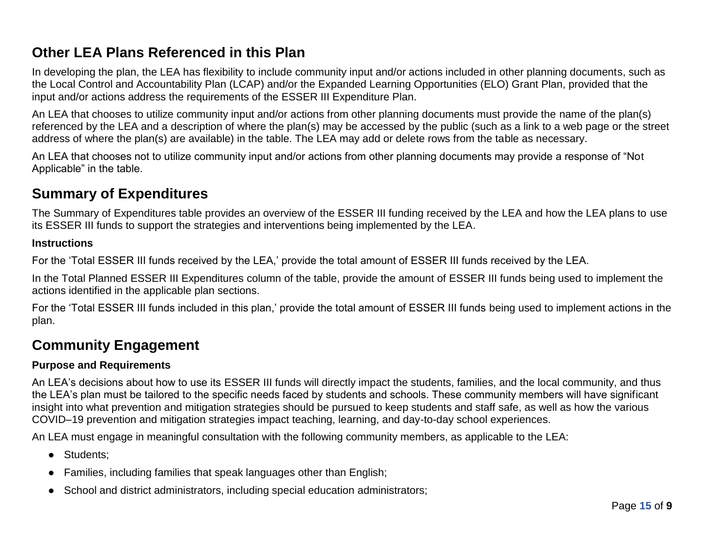## **Other LEA Plans Referenced in this Plan**

In developing the plan, the LEA has flexibility to include community input and/or actions included in other planning documents, such as the Local Control and Accountability Plan (LCAP) and/or the Expanded Learning Opportunities (ELO) Grant Plan, provided that the input and/or actions address the requirements of the ESSER III Expenditure Plan.

An LEA that chooses to utilize community input and/or actions from other planning documents must provide the name of the plan(s) referenced by the LEA and a description of where the plan(s) may be accessed by the public (such as a link to a web page or the street address of where the plan(s) are available) in the table. The LEA may add or delete rows from the table as necessary.

An LEA that chooses not to utilize community input and/or actions from other planning documents may provide a response of "Not Applicable" in the table.

## **Summary of Expenditures**

The Summary of Expenditures table provides an overview of the ESSER III funding received by the LEA and how the LEA plans to use its ESSER III funds to support the strategies and interventions being implemented by the LEA.

#### **Instructions**

For the 'Total ESSER III funds received by the LEA,' provide the total amount of ESSER III funds received by the LEA.

In the Total Planned ESSER III Expenditures column of the table, provide the amount of ESSER III funds being used to implement the actions identified in the applicable plan sections.

For the 'Total ESSER III funds included in this plan,' provide the total amount of ESSER III funds being used to implement actions in the plan.

## **Community Engagement**

#### **Purpose and Requirements**

An LEA's decisions about how to use its ESSER III funds will directly impact the students, families, and the local community, and thus the LEA's plan must be tailored to the specific needs faced by students and schools. These community members will have significant insight into what prevention and mitigation strategies should be pursued to keep students and staff safe, as well as how the various COVID–19 prevention and mitigation strategies impact teaching, learning, and day-to-day school experiences.

An LEA must engage in meaningful consultation with the following community members, as applicable to the LEA:

- Students:
- Families, including families that speak languages other than English;
- School and district administrators, including special education administrators;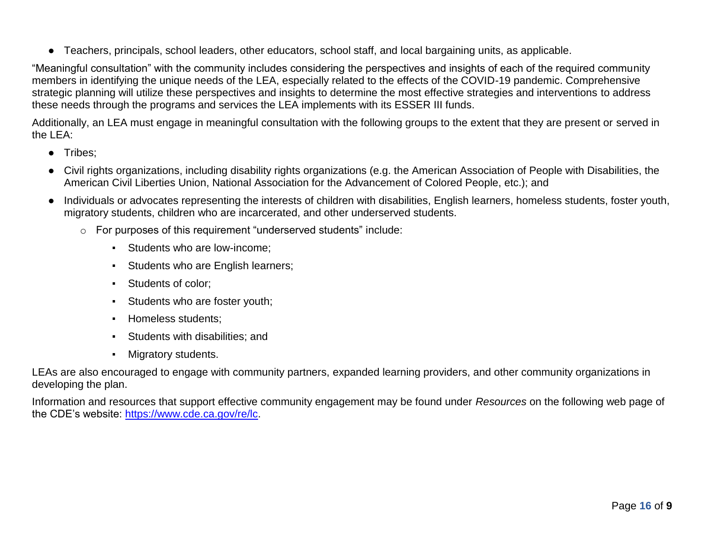● Teachers, principals, school leaders, other educators, school staff, and local bargaining units, as applicable.

"Meaningful consultation" with the community includes considering the perspectives and insights of each of the required community members in identifying the unique needs of the LEA, especially related to the effects of the COVID-19 pandemic. Comprehensive strategic planning will utilize these perspectives and insights to determine the most effective strategies and interventions to address these needs through the programs and services the LEA implements with its ESSER III funds.

Additionally, an LEA must engage in meaningful consultation with the following groups to the extent that they are present or served in the LEA:

- Tribes;
- Civil rights organizations, including disability rights organizations (e.g. the American Association of People with Disabilities, the American Civil Liberties Union, National Association for the Advancement of Colored People, etc.); and
- Individuals or advocates representing the interests of children with disabilities, English learners, homeless students, foster youth, migratory students, children who are incarcerated, and other underserved students.
	- o For purposes of this requirement "underserved students" include:
		- **Students who are low-income:**
		- **Students who are English learners;**
		- Students of color;
		- Students who are foster youth;
		- Homeless students;
		- Students with disabilities; and
		- Migratory students.

LEAs are also encouraged to engage with community partners, expanded learning providers, and other community organizations in developing the plan.

Information and resources that support effective community engagement may be found under *Resources* on the following web page of the CDE's website: [https://www.cde.ca.gov/re/lc.](https://www.cde.ca.gov/re/lc)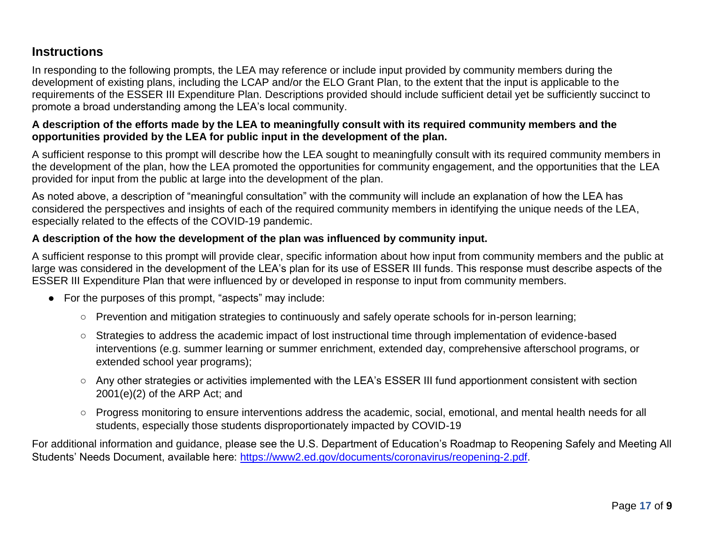### **Instructions**

In responding to the following prompts, the LEA may reference or include input provided by community members during the development of existing plans, including the LCAP and/or the ELO Grant Plan, to the extent that the input is applicable to the requirements of the ESSER III Expenditure Plan. Descriptions provided should include sufficient detail yet be sufficiently succinct to promote a broad understanding among the LEA's local community.

#### **A description of the efforts made by the LEA to meaningfully consult with its required community members and the opportunities provided by the LEA for public input in the development of the plan.**

A sufficient response to this prompt will describe how the LEA sought to meaningfully consult with its required community members in the development of the plan, how the LEA promoted the opportunities for community engagement, and the opportunities that the LEA provided for input from the public at large into the development of the plan.

As noted above, a description of "meaningful consultation" with the community will include an explanation of how the LEA has considered the perspectives and insights of each of the required community members in identifying the unique needs of the LEA, especially related to the effects of the COVID-19 pandemic.

#### **A description of the how the development of the plan was influenced by community input.**

A sufficient response to this prompt will provide clear, specific information about how input from community members and the public at large was considered in the development of the LEA's plan for its use of ESSER III funds. This response must describe aspects of the ESSER III Expenditure Plan that were influenced by or developed in response to input from community members.

- For the purposes of this prompt, "aspects" may include:
	- Prevention and mitigation strategies to continuously and safely operate schools for in-person learning;
	- Strategies to address the academic impact of lost instructional time through implementation of evidence-based interventions (e.g. summer learning or summer enrichment, extended day, comprehensive afterschool programs, or extended school year programs);
	- Any other strategies or activities implemented with the LEA's ESSER III fund apportionment consistent with section 2001(e)(2) of the ARP Act; and
	- Progress monitoring to ensure interventions address the academic, social, emotional, and mental health needs for all students, especially those students disproportionately impacted by COVID-19

For additional information and guidance, please see the U.S. Department of Education's Roadmap to Reopening Safely and Meeting All Students' Needs Document, available here: [https://www2.ed.gov/documents/coronavirus/reopening-2.pdf.](https://www2.ed.gov/documents/coronavirus/reopening-2.pdf)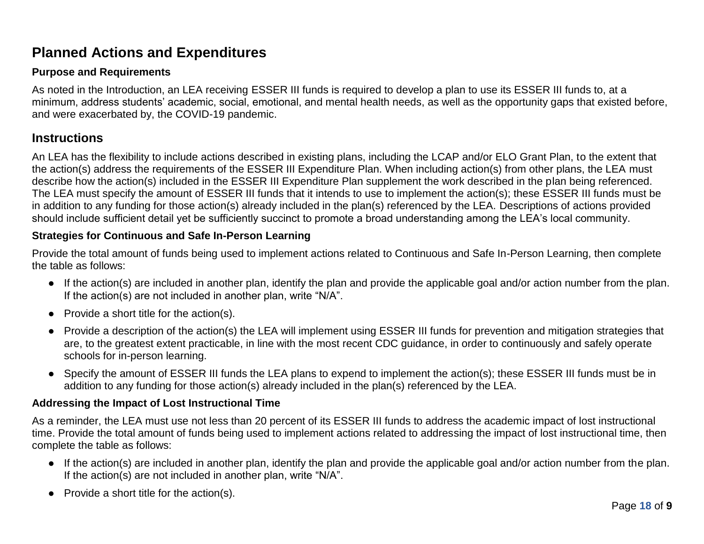## **Planned Actions and Expenditures**

#### **Purpose and Requirements**

As noted in the Introduction, an LEA receiving ESSER III funds is required to develop a plan to use its ESSER III funds to, at a minimum, address students' academic, social, emotional, and mental health needs, as well as the opportunity gaps that existed before, and were exacerbated by, the COVID-19 pandemic.

### **Instructions**

An LEA has the flexibility to include actions described in existing plans, including the LCAP and/or ELO Grant Plan, to the extent that the action(s) address the requirements of the ESSER III Expenditure Plan. When including action(s) from other plans, the LEA must describe how the action(s) included in the ESSER III Expenditure Plan supplement the work described in the plan being referenced. The LEA must specify the amount of ESSER III funds that it intends to use to implement the action(s); these ESSER III funds must be in addition to any funding for those action(s) already included in the plan(s) referenced by the LEA. Descriptions of actions provided should include sufficient detail yet be sufficiently succinct to promote a broad understanding among the LEA's local community.

#### **Strategies for Continuous and Safe In-Person Learning**

Provide the total amount of funds being used to implement actions related to Continuous and Safe In-Person Learning, then complete the table as follows:

- If the action(s) are included in another plan, identify the plan and provide the applicable goal and/or action number from the plan. If the action(s) are not included in another plan, write "N/A".
- $\bullet$  Provide a short title for the action(s).
- Provide a description of the action(s) the LEA will implement using ESSER III funds for prevention and mitigation strategies that are, to the greatest extent practicable, in line with the most recent CDC guidance, in order to continuously and safely operate schools for in-person learning.
- Specify the amount of ESSER III funds the LEA plans to expend to implement the action(s); these ESSER III funds must be in addition to any funding for those action(s) already included in the plan(s) referenced by the LEA.

#### **Addressing the Impact of Lost Instructional Time**

As a reminder, the LEA must use not less than 20 percent of its ESSER III funds to address the academic impact of lost instructional time. Provide the total amount of funds being used to implement actions related to addressing the impact of lost instructional time, then complete the table as follows:

- If the action(s) are included in another plan, identify the plan and provide the applicable goal and/or action number from the plan. If the action(s) are not included in another plan, write "N/A".
- $\bullet$  Provide a short title for the action(s).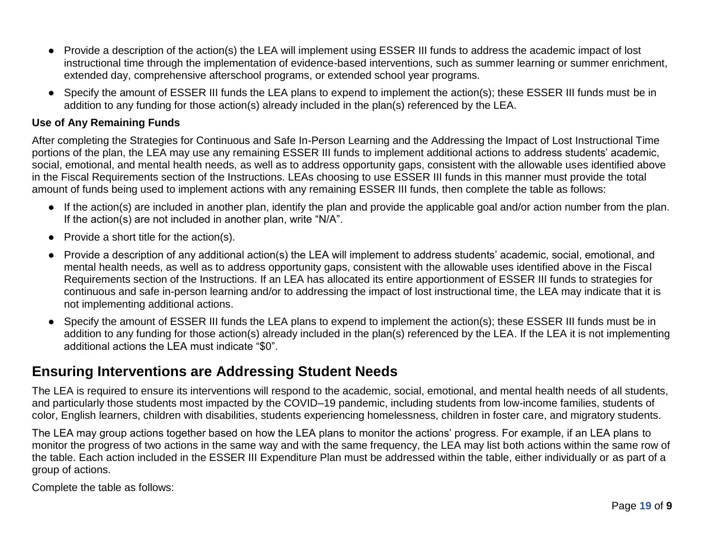- Provide a description of the action(s) the LEA will implement using ESSER III funds to address the academic impact of lost instructional time through the implementation of evidence-based interventions, such as summer learning or summer enrichment, extended day, comprehensive afterschool programs, or extended school year programs.
- Specify the amount of ESSER III funds the LEA plans to expend to implement the action(s); these ESSER III funds must be in addition to any funding for those action(s) already included in the plan(s) referenced by the LEA.

#### **Use of Any Remaining Funds**

After completing the Strategies for Continuous and Safe In-Person Learning and the Addressing the Impact of Lost Instructional Time portions of the plan, the LEA may use any remaining ESSER III funds to implement additional actions to address students' academic, social, emotional, and mental health needs, as well as to address opportunity gaps, consistent with the allowable uses identified above in the Fiscal Requirements section of the Instructions. LEAs choosing to use ESSER III funds in this manner must provide the total amount of funds being used to implement actions with any remaining ESSER III funds, then complete the table as follows:

- If the action(s) are included in another plan, identify the plan and provide the applicable goal and/or action number from the plan. If the action(s) are not included in another plan, write "N/A".
- $\bullet$  Provide a short title for the action(s).
- Provide a description of any additional action(s) the LEA will implement to address students' academic, social, emotional, and mental health needs, as well as to address opportunity gaps, consistent with the allowable uses identified above in the Fiscal Requirements section of the Instructions. If an LEA has allocated its entire apportionment of ESSER III funds to strategies for continuous and safe in-person learning and/or to addressing the impact of lost instructional time, the LEA may indicate that it is not implementing additional actions.
- Specify the amount of ESSER III funds the LEA plans to expend to implement the action(s); these ESSER III funds must be in addition to any funding for those action(s) already included in the plan(s) referenced by the LEA. If the LEA it is not implementing additional actions the LEA must indicate "\$0".

## **Ensuring Interventions are Addressing Student Needs**

The LEA is required to ensure its interventions will respond to the academic, social, emotional, and mental health needs of all students, and particularly those students most impacted by the COVID–19 pandemic, including students from low-income families, students of color, English learners, children with disabilities, students experiencing homelessness, children in foster care, and migratory students.

The LEA may group actions together based on how the LEA plans to monitor the actions' progress. For example, if an LEA plans to monitor the progress of two actions in the same way and with the same frequency, the LEA may list both actions within the same row of the table. Each action included in the ESSER III Expenditure Plan must be addressed within the table, either individually or as part of a group of actions.

Complete the table as follows: